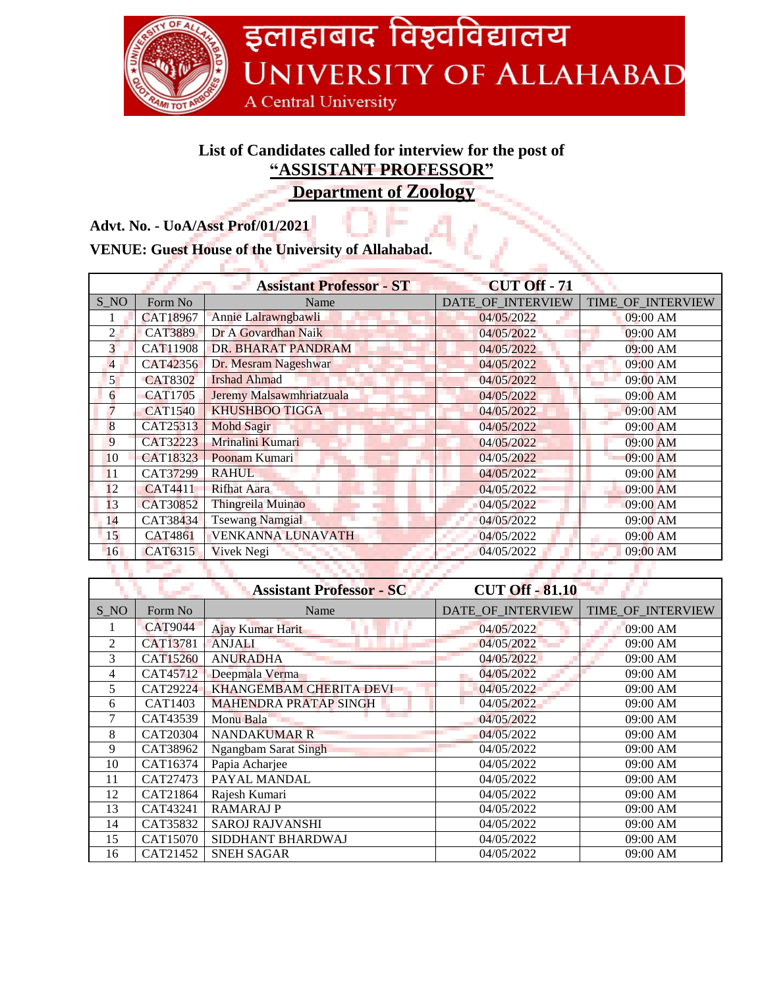

## **List of Candidates called for interview for the post of "ASSISTANT PROFESSOR"**

**Department of Zoology**

**Advt. No. - UoA/Asst Prof/01/2021**

|                |                | <b>Assistant Professor - ST</b> | <b>CUT Off - 71</b> |                   |
|----------------|----------------|---------------------------------|---------------------|-------------------|
| S_NO           | Form No        | Name                            | DATE OF INTERVIEW   | TIME OF INTERVIEW |
|                | CAT18967       | Annie Lalrawngbawli             | 04/05/2022          | 09:00 AM          |
| $\mathfrak{D}$ | <b>CAT3889</b> | Dr A Govardhan Naik             | 04/05/2022          | 09:00 AM          |
| 3              | CAT11908       | DR. BHARAT PANDRAM              | 04/05/2022          | 09:00 AM          |
| 4              | CAT42356       | Dr. Mesram Nageshwar            | 04/05/2022          | 09:00 AM          |
| $\overline{5}$ | <b>CAT8302</b> | <b>Irshad Ahmad</b>             | 04/05/2022          | 09:00 AM          |
| 6              | <b>CAT1705</b> | Jeremy Malsawmhriatzuala        | 04/05/2022          | 09:00 AM          |
| $\overline{7}$ | <b>CAT1540</b> | <b>KHUSHBOO TIGGA</b>           | 04/05/2022          | 09:00 AM          |
| 8              | CAT25313       | <b>Mohd Sagir</b>               | 04/05/2022          | 09:00 AM          |
| 9              | CAT32223       | Mrinalini Kumari                | 04/05/2022          | 09:00 AM          |
| 10             | CAT18323       | Poonam Kumari                   | 04/05/2022          | 09:00 AM          |
| 11             | CAT37299       | <b>RAHUL</b>                    | 04/05/2022          | 09:00 AM          |
| 12             | <b>CAT4411</b> | <b>Rifhat Aara</b>              | 04/05/2022          | 09:00 AM          |
| 13             | CAT30852       | Thingreila Muinao               | 04/05/2022          | 09:00 AM          |
| 14             | CAT38434       | <b>Tsewang Namgial</b>          | 04/05/2022          | 09:00 AM          |
| 15             | CAT4861        | <b>VENKANNA LUNAVATH</b>        | 04/05/2022          | 09:00 AM          |
| 16             | CAT6315        | Vivek Negi                      | 04/05/2022          | 09:00 AM          |

|                |                | <b>Assistant Professor - SC</b> | <b>CUT Off - 81.10</b> |                   |
|----------------|----------------|---------------------------------|------------------------|-------------------|
| S NO           | Form No        | Name                            | DATE_OF_INTERVIEW      | TIME_OF_INTERVIEW |
|                | <b>CAT9044</b> | Ajay Kumar Harit                | 04/05/2022             | 09:00 AM          |
| $\mathfrak{D}$ | CAT13781       | <b>ANJALI</b>                   | 04/05/2022             | 09:00 AM          |
| 3              | CAT15260       | <b>ANURADHA</b>                 | 04/05/2022             | 09:00 AM          |
| 4              | CAT45712       | Deepmala Verma                  | 04/05/2022             | 09:00 AM          |
| 5              | CAT29224       | <b>KHANGEMBAM CHERITA DEVI</b>  | 04/05/2022             | 09:00 AM          |
| 6              | CAT1403        | <b>MAHENDRA PRATAP SINGH</b>    | 04/05/2022             | 09:00 AM          |
|                | CAT43539       | Monu Bala                       | 04/05/2022             | 09:00 AM          |
| 8              | CAT20304       | <b>NANDAKUMAR R</b>             | 04/05/2022             | 09:00 AM          |
| 9              | CAT38962       | <b>Ngangbam Sarat Singh</b>     | 04/05/2022             | 09:00 AM          |
| 10             | CAT16374       | Papia Acharjee                  | 04/05/2022             | 09:00 AM          |
| 11             | CAT27473       | PAYAL MANDAL                    | 04/05/2022             | 09:00 AM          |
| 12             | CAT21864       | Rajesh Kumari                   | 04/05/2022             | 09:00 AM          |
| 13             | CAT43241       | <b>RAMARAJ P</b>                | 04/05/2022             | 09:00 AM          |
| 14             | CAT35832       | <b>SAROJ RAJVANSHI</b>          | 04/05/2022             | 09:00 AM          |
| 15             | CAT15070       | SIDDHANT BHARDWAJ               | 04/05/2022             | 09:00 AM          |
| 16             | CAT21452       | <b>SNEH SAGAR</b>               | 04/05/2022             | 09:00 AM          |